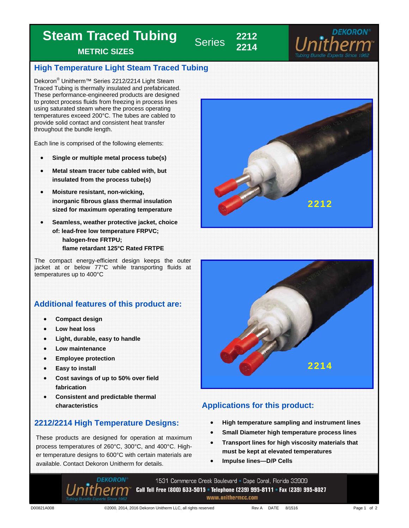# **Steam Traced Tubing**

**METRIC SIZES** 

## **High Temperature Light Steam Traced Tubing**

**22 Series** 

**2214** 

Dekoron<sup>®</sup> Unitherm™ Series 2212/2214 Light Steam Traced Tubing is thermally insulated and prefabricated. These performance-engineered products are designed to protect process fluids from freezing in process lines using saturated steam where the process operating temperatures exceed 200°C. The tubes are cabled to provide solid contact and consistent heat transfer throughout the bundle length.

Each line is comprised of the following elements:

- **Single or multiple metal process tube(s)**
- **Metal steam tracer tube cabled with, but insulated from the process tube(s)**
- **Moisture resistant, non-wicking, inorganic fibrous glass thermal insulation sized for maximum operating temperature**
- **Seamless, weather protective jacket, choice of: lead-free low temperature FRPVC; halogen-free FRTPU; flame retardant 125°C Rated FRTPE**

The compact energy-efficient design keeps the outer jacket at or below 77°C while transporting fluids at temperatures up to 400°C

## **Additional features of this product are:**

- **Compact design**
- **Low heat loss**
- **Light, durable, easy to handle**
- **Low maintenance**
- **Employee protection**
- **Easy to install**
- **Cost savings of up to 50% over field fabrication**
- **Consistent and predictable thermal**

## **2212/2214 High Temperature Designs:**

These products are designed for operation at maximum process temperatures of 260°C, 300°C, and 400°C. Higher temperature designs to 600°C with certain materials are available. Contact Dekoron Unitherm for details.





## **characteristics Characteristics Applications for this product:**

- **High temperature sampling and instrument lines**
- **Small Diameter high temperature process lines**
- **Transport lines for high viscosity materials that must be kept at elevated temperatures**
- **Impulse lines—D/P Cells**

1531 Commerce Creek Boulevard • Cape Coral, Florida 33909 Call Toll Free (800) 633-5015 • Telephone (239) 995-8111 • Fax (239) 995-8027 www.unithermcc.com